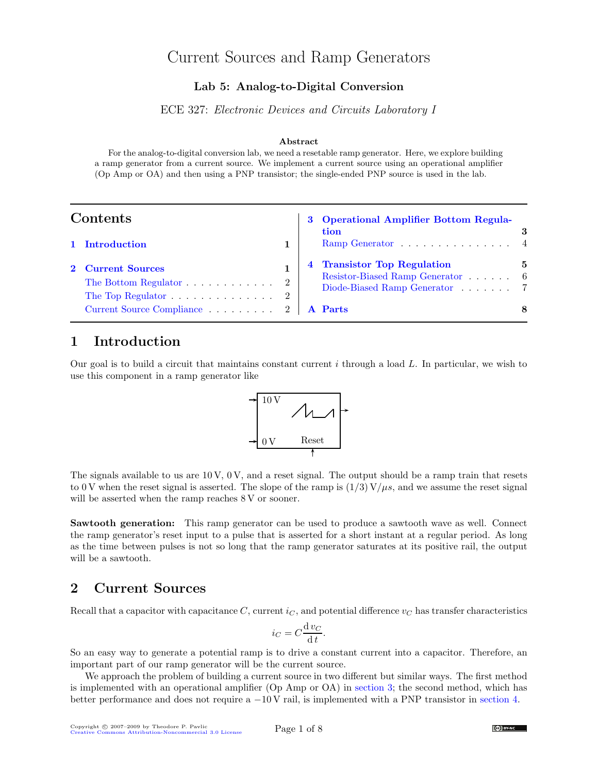# Current Sources and Ramp Generators

#### Lab 5: Analog-to-Digital Conversion

ECE 327: Electronic Devices and Circuits Laboratory I

#### Abstract

For the analog-to-digital conversion lab, we need a resetable ramp generator. Here, we explore building a ramp generator from a current source. We implement a current source using an operational amplifier (Op Amp or OA) and then using a PNP transistor; the single-ended PNP source is used in the lab.

| Contents |                                                                                                                                |  | 3 Operational Amplifier Bottom Regula-<br>tion                                                        |   |
|----------|--------------------------------------------------------------------------------------------------------------------------------|--|-------------------------------------------------------------------------------------------------------|---|
|          | 1 Introduction                                                                                                                 |  | Ramp Generator $\dots \dots \dots \dots \dots \dots$ 4                                                |   |
|          | 2 Current Sources<br>The Bottom Regulator $\ldots \ldots \ldots \ldots 2$<br>The Top Regulator $\ldots \ldots \ldots \ldots 2$ |  | <b>Transistor Top Regulation</b><br>Resistor-Biased Ramp Generator 6<br>Diode-Biased Ramp Generator 7 | 5 |
|          | Current Source Compliance 2   A Parts                                                                                          |  |                                                                                                       | 8 |

## <span id="page-0-0"></span>1 Introduction

Our goal is to build a circuit that maintains constant current  $i$  through a load  $L$ . In particular, we wish to use this component in a ramp generator like



The signals available to us are  $10 \text{ V}$ ,  $0 \text{ V}$ , and a reset signal. The output should be a ramp train that resets to 0 V when the reset signal is asserted. The slope of the ramp is  $(1/3) V/\mu s$ , and we assume the reset signal will be asserted when the ramp reaches 8 V or sooner.

Sawtooth generation: This ramp generator can be used to produce a sawtooth wave as well. Connect the ramp generator's reset input to a pulse that is asserted for a short instant at a regular period. As long as the time between pulses is not so long that the ramp generator saturates at its positive rail, the output will be a sawtooth.

### <span id="page-0-1"></span>2 Current Sources

Recall that a capacitor with capacitance  $C$ , current  $i<sub>C</sub>$ , and potential difference  $v<sub>C</sub>$  has transfer characteristics

$$
i_C = C \frac{\mathrm{d} v_C}{\mathrm{d} t}.
$$

So an easy way to generate a potential ramp is to drive a constant current into a capacitor. Therefore, an important part of our ramp generator will be the current source.

We approach the problem of building a current source in two different but similar ways. The first method is implemented with an operational amplifier (Op Amp or OA) in [section 3;](#page-2-0) the second method, which has better performance and does not require a −10 V rail, is implemented with a PNP transistor in [section 4.](#page-4-0)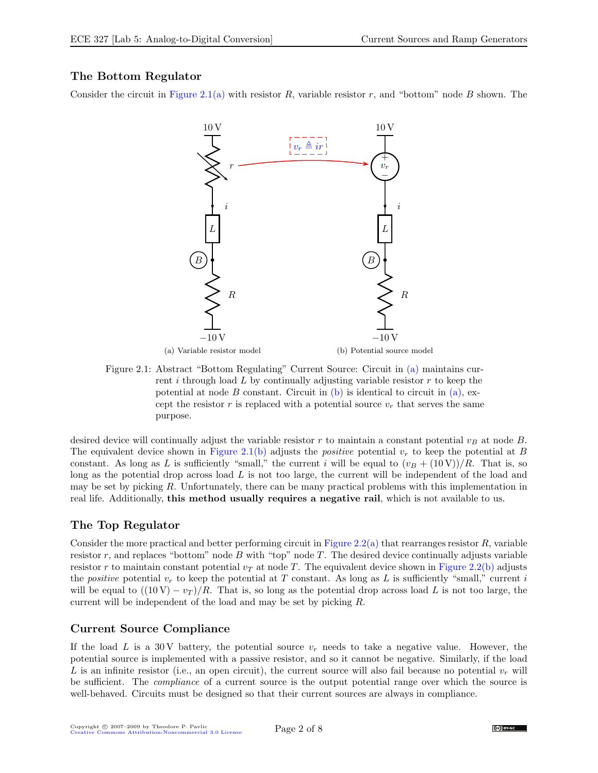### <span id="page-1-0"></span>The Bottom Regulator

Consider the circuit in [Figure 2.1\(a\)](#page-7-1) with resistor R, variable resistor r, and "bottom" node B shown. The



<span id="page-1-3"></span>Figure 2.1: Abstract "Bottom Regulating" Current Source: Circuit in [\(a\)](#page-7-1) maintains current i through load  $L$  by continually adjusting variable resistor  $r$  to keep the potential at node B constant. Circuit in  $(b)$  is identical to circuit in  $(a)$ , except the resistor r is replaced with a potential source  $v_r$  that serves the same purpose.

desired device will continually adjust the variable resistor r to maintain a constant potential  $v_B$  at node B. The equivalent device shown in [Figure 2.1\(b\)](#page-7-2) adjusts the *positive* potential  $v_r$  to keep the potential at B constant. As long as L is sufficiently "small," the current i will be equal to  $(v_B + (10 \text{ V}))/R$ . That is, so long as the potential drop across load  $L$  is not too large, the current will be independent of the load and may be set by picking R. Unfortunately, there can be many practical problems with this implementation in real life. Additionally, this method usually requires a negative rail, which is not available to us.

### <span id="page-1-1"></span>The Top Regulator

Consider the more practical and better performing circuit in [Figure 2.2\(a\)](#page-7-1) that rearranges resistor  $R$ , variable resistor  $r$ , and replaces "bottom" node  $B$  with "top" node  $T$ . The desired device continually adjusts variable resistor r to maintain constant potential  $v<sub>T</sub>$  at node T. The equivalent device shown in [Figure 2.2\(b\)](#page-7-2) adjusts the positive potential  $v_r$  to keep the potential at T constant. As long as L is sufficiently "small," current i will be equal to  $((10 V) - v_T)/R$ . That is, so long as the potential drop across load L is not too large, the current will be independent of the load and may be set by picking R.

### Current Source Compliance

<span id="page-1-2"></span>If the load L is a 30 V battery, the potential source  $v_r$  needs to take a negative value. However, the potential source is implemented with a passive resistor, and so it cannot be negative. Similarly, if the load L is an infinite resistor (i.e., an open circuit), the current source will also fail because no potential  $v_r$  will be sufficient. The compliance of a current source is the output potential range over which the source is well-behaved. Circuits must be designed so that their current sources are always in compliance.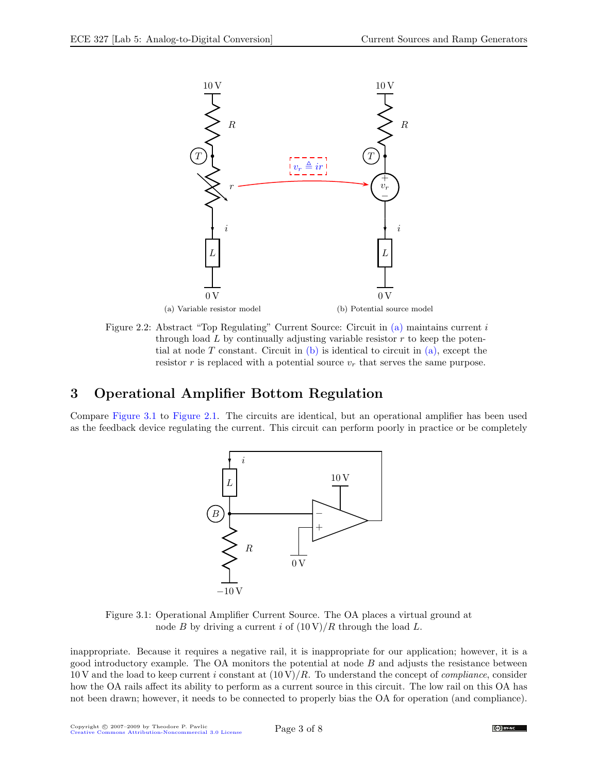

<span id="page-2-2"></span>Figure 2.2: Abstract "Top Regulating" Current Source: Circuit in [\(a\)](#page-7-1) maintains current i through load  $L$  by continually adjusting variable resistor  $r$  to keep the poten-tial at node T constant. Circuit in [\(b\)](#page-7-2) is identical to circuit in  $(a)$ , except the resistor r is replaced with a potential source  $v_r$  that serves the same purpose.

# <span id="page-2-0"></span>3 Operational Amplifier Bottom Regulation

Compare [Figure 3.1](#page-2-1) to [Figure 2.1.](#page-1-3) The circuits are identical, but an operational amplifier has been used as the feedback device regulating the current. This circuit can perform poorly in practice or be completely



<span id="page-2-1"></span>Figure 3.1: Operational Amplifier Current Source. The OA places a virtual ground at node B by driving a current i of  $(10 \text{ V})/R$  through the load L.

inappropriate. Because it requires a negative rail, it is inappropriate for our application; however, it is a good introductory example. The OA monitors the potential at node  $B$  and adjusts the resistance between 10 V and the load to keep current i constant at  $(10 \text{ V})/R$ . To understand the concept of *compliance*, consider how the OA rails affect its ability to perform as a current source in this circuit. The low rail on this OA has not been drawn; however, it needs to be connected to properly bias the OA for operation (and compliance).

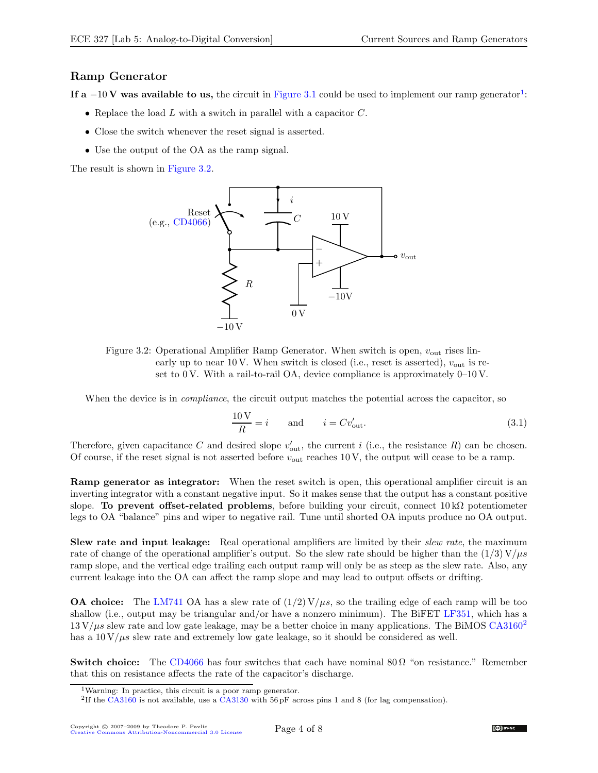#### <span id="page-3-0"></span>Ramp Generator

If a  $-10$  $-10$  $-10$  V was available to us, the circuit in [Figure 3.1](#page-2-1) could be used to implement our ramp generator<sup>1</sup>:

- Replace the load  $L$  with a switch in parallel with a capacitor  $C$ .
- Close the switch whenever the reset signal is asserted.
- Use the output of the OA as the ramp signal.

The result is shown in [Figure 3.2.](#page-3-2)



<span id="page-3-2"></span>Figure 3.2: Operational Amplifier Ramp Generator. When switch is open,  $v_{\text{out}}$  rises linearly up to near 10 V. When switch is closed (i.e., reset is asserted),  $v_{\text{out}}$  is reset to 0 V. With a rail-to-rail OA, device compliance is approximately 0–10 V.

When the device is in *compliance*, the circuit output matches the potential across the capacitor, so

$$
\frac{10\,\mathrm{V}}{R} = i \qquad \text{and} \qquad i = Cv_{\text{out}}'. \tag{3.1}
$$

Therefore, given capacitance C and desired slope  $v'_{\text{out}}$ , the current i (i.e., the resistance R) can be chosen. Of course, if the reset signal is not asserted before  $v_{\text{out}}$  reaches 10 V, the output will cease to be a ramp.

Ramp generator as integrator: When the reset switch is open, this operational amplifier circuit is an inverting integrator with a constant negative input. So it makes sense that the output has a constant positive slope. To prevent offset-related problems, before building your circuit, connect  $10 \,\mathrm{k}\Omega$  potentiometer legs to OA "balance" pins and wiper to negative rail. Tune until shorted OA inputs produce no OA output.

Slew rate and input leakage: Real operational amplifiers are limited by their slew rate, the maximum rate of change of the operational amplifier's output. So the slew rate should be higher than the  $(1/3)$  V/ $\mu$ s ramp slope, and the vertical edge trailing each output ramp will only be as steep as the slew rate. Also, any current leakage into the OA can affect the ramp slope and may lead to output offsets or drifting.

**OA choice:** The [LM741](http://www.national.com/pf/LM/LM741.html) OA has a slew rate of  $(1/2) V/\mu s$ , so the trailing edge of each ramp will be too shallow (i.e., output may be triangular and/or have a nonzero minimum). The BiFET [LF351,](http://www.national.com/pf/LF/LF351.html) which has a  $13 \text{ V}/\mu s$  slew rate and low gate leakage, may be a better choice in many applications. The BiMOS [CA3160](http://www.intersil.com/data/fn/fn976.pdf)<sup>[2](#page-3-3)</sup> has a  $10 \mathrm{V}/\mu s$  slew rate and extremely low gate leakage, so it should be considered as well.

**Switch choice:** The [CD4066](http://www.fairchildsemi.com/ds/CD/CD4066BC.pdf) has four switches that each have nominal  $80\Omega$  "on resistance." Remember that this on resistance affects the rate of the capacitor's discharge.

<sup>&</sup>lt;sup>1</sup>Warning: In practice, this circuit is a poor ramp generator.

<span id="page-3-3"></span><span id="page-3-1"></span><sup>&</sup>lt;sup>2</sup>If the [CA3160](http://www.intersil.com/data/fn/fn976.pdf) is not available, use a [CA3130](http://www.intersil.com/data/fn/fn817.pdf) with 56 pF across pins 1 and 8 (for lag compensation).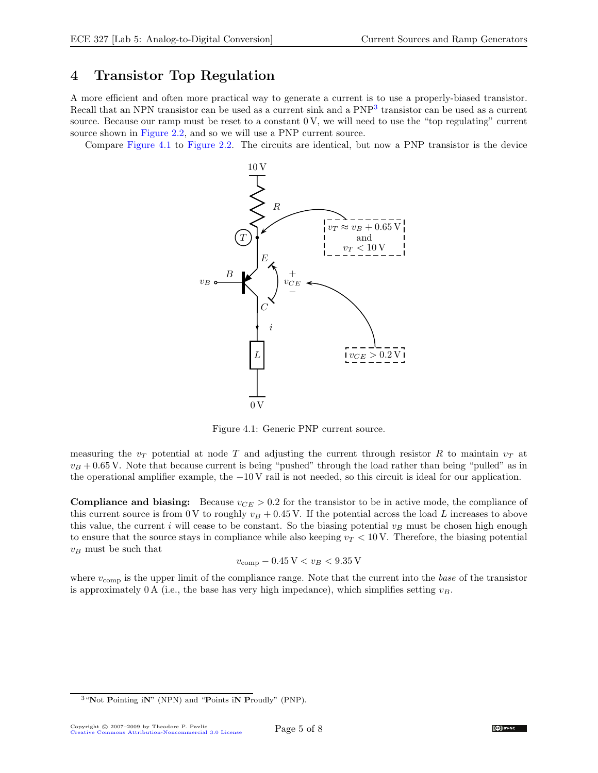### <span id="page-4-0"></span>4 Transistor Top Regulation

A more efficient and often more practical way to generate a current is to use a properly-biased transistor. Recall that an NPN transistor can be used as a current sink and a PNP<sup>[3](#page-4-1)</sup> transistor can be used as a current source. Because our ramp must be reset to a constant 0 V, we will need to use the "top regulating" current source shown in [Figure 2.2,](#page-2-2) and so we will use a PNP current source.

Compare [Figure 4.1](#page-4-2) to [Figure 2.2.](#page-2-2) The circuits are identical, but now a PNP transistor is the device



<span id="page-4-2"></span>Figure 4.1: Generic PNP current source.

measuring the  $v_T$  potential at node T and adjusting the current through resistor R to maintain  $v_T$  at  $v_B + 0.65$  V. Note that because current is being "pushed" through the load rather than being "pulled" as in the operational amplifier example, the −10 V rail is not needed, so this circuit is ideal for our application.

**Compliance and biasing:** Because  $v_{CE} > 0.2$  for the transistor to be in active mode, the compliance of this current source is from 0 V to roughly  $v_B + 0.45$  V. If the potential across the load L increases to above this value, the current i will cease to be constant. So the biasing potential  $v_B$  must be chosen high enough to ensure that the source stays in compliance while also keeping  $v_T < 10$  V. Therefore, the biasing potential  $v_B$  must be such that

$$
v_{\rm comp} - 0.45\,\mathrm{V} < v_B < 9.35\,\mathrm{V}
$$

where  $v_{\text{comp}}$  is the upper limit of the compliance range. Note that the current into the base of the transistor is approximately 0 A (i.e., the base has very high impedance), which simplifies setting  $v_B$ .



<span id="page-4-1"></span> $3$  "Not Pointing iN" (NPN) and "Points iN Proudly" (PNP).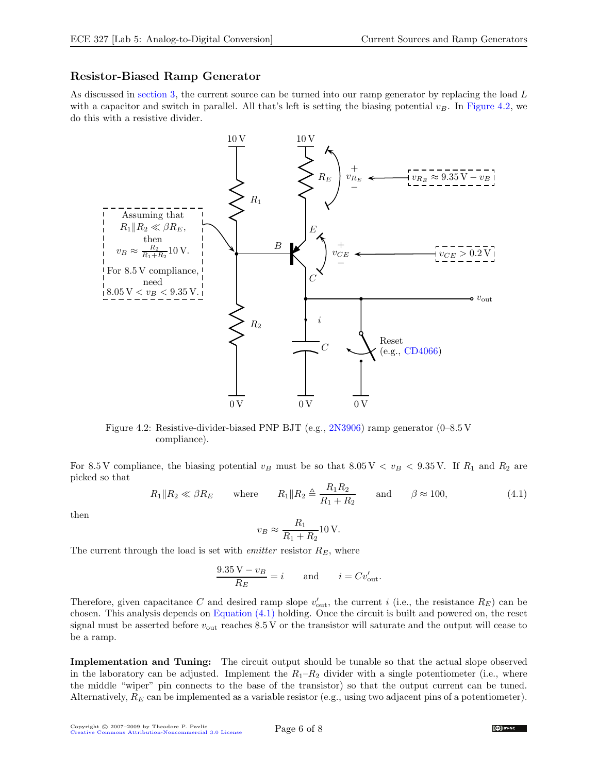#### <span id="page-5-0"></span>Resistor-Biased Ramp Generator

As discussed in [section 3,](#page-2-0) the current source can be turned into our ramp generator by replacing the load L with a capacitor and switch in parallel. All that's left is setting the biasing potential  $v_B$ . In [Figure 4.2,](#page-5-1) we do this with a resistive divider.



<span id="page-5-1"></span>Figure 4.2: Resistive-divider-biased PNP BJT (e.g., [2N3906\)](http://www.fairchildsemi.com/ds/2N/2N3906.pdf) ramp generator (0–8.5 V compliance).

For 8.5 V compliance, the biasing potential  $v_B$  must be so that 8.05 V  $\lt v_B \lt 9.35$  V. If  $R_1$  and  $R_2$  are picked so that

<span id="page-5-2"></span>
$$
R_1 \| R_2 \ll \beta R_E
$$
 where  $R_1 \| R_2 \triangleq \frac{R_1 R_2}{R_1 + R_2}$  and  $\beta \approx 100$ , (4.1)

then

$$
v_B \approx \frac{R_1}{R_1 + R_2} 10 \,\text{V}.
$$

The current through the load is set with *emitter* resistor  $R_E$ , where

$$
\frac{9.35\,\text{V} - v_B}{R_E} = i \qquad \text{and} \qquad i = Cv_{\text{out}}'.
$$

Therefore, given capacitance C and desired ramp slope  $v'_{\text{out}}$ , the current i (i.e., the resistance  $R_E$ ) can be chosen. This analysis depends on [Equation \(4.1\)](#page-5-2) holding. Once the circuit is built and powered on, the reset signal must be asserted before  $v_{\text{out}}$  reaches 8.5 V or the transistor will saturate and the output will cease to be a ramp.

Implementation and Tuning: The circuit output should be tunable so that the actual slope observed in the laboratory can be adjusted. Implement the  $R_1-R_2$  divider with a single potentiometer (i.e., where the middle "wiper" pin connects to the base of the transistor) so that the output current can be tuned. Alternatively,  $R_E$  can be implemented as a variable resistor (e.g., using two adjacent pins of a potentiometer).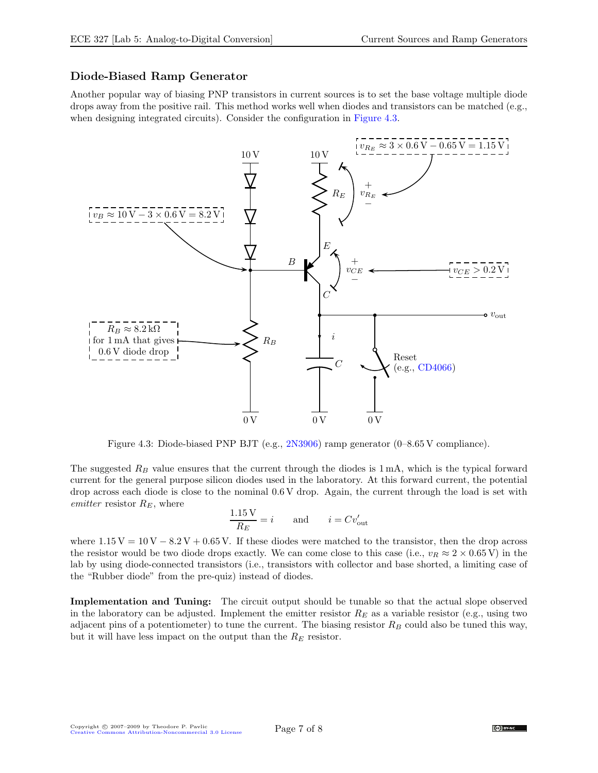### <span id="page-6-0"></span>Diode-Biased Ramp Generator

Another popular way of biasing PNP transistors in current sources is to set the base voltage multiple diode drops away from the positive rail. This method works well when diodes and transistors can be matched (e.g., when designing integrated circuits). Consider the configuration in [Figure 4.3.](#page-6-1)



<span id="page-6-1"></span>Figure 4.3: Diode-biased PNP BJT (e.g., [2N3906\)](http://www.fairchildsemi.com/ds/2N/2N3906.pdf) ramp generator (0–8.65 V compliance).

The suggested  $R_B$  value ensures that the current through the diodes is 1 mA, which is the typical forward current for the general purpose silicon diodes used in the laboratory. At this forward current, the potential drop across each diode is close to the nominal 0.6 V drop. Again, the current through the load is set with emitter resistor  $R_E$ , where

$$
\frac{1.15 \text{ V}}{R_E} = i \quad \text{and} \quad i = Cv_{\text{out}}'
$$

where  $1.15 V = 10 V - 8.2 V + 0.65 V$ . If these diodes were matched to the transistor, then the drop across the resistor would be two diode drops exactly. We can come close to this case (i.e.,  $v_R \approx 2 \times 0.65$  V) in the lab by using diode-connected transistors (i.e., transistors with collector and base shorted, a limiting case of the "Rubber diode" from the pre-quiz) instead of diodes.

Implementation and Tuning: The circuit output should be tunable so that the actual slope observed in the laboratory can be adjusted. Implement the emitter resistor  $R_E$  as a variable resistor (e.g., using two adjacent pins of a potentiometer) to tune the current. The biasing resistor  $R_B$  could also be tuned this way, but it will have less impact on the output than the  $R_E$  resistor.